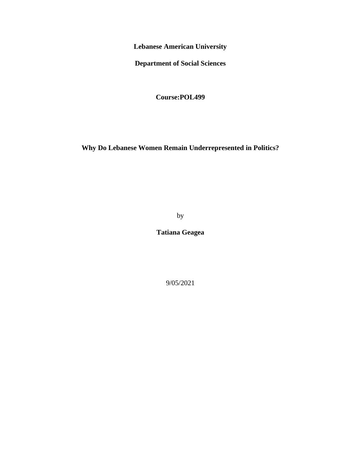**Lebanese American University**

**Department of Social Sciences** 

**Course:POL499**

**Why Do Lebanese Women Remain Underrepresented in Politics?**

by

**Tatiana Geagea** 

9/05/2021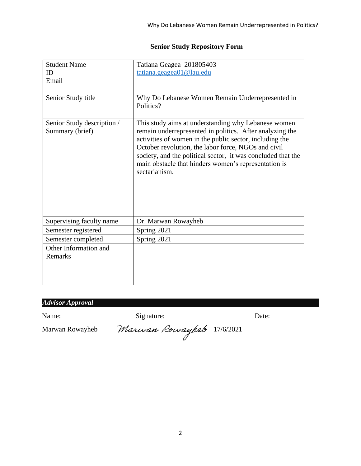# **Senior Study Repository Form**

| <b>Student Name</b>                           | Tatiana Geagea 201805403                                                                                                                                                                                                                                                                                                                                                   |  |
|-----------------------------------------------|----------------------------------------------------------------------------------------------------------------------------------------------------------------------------------------------------------------------------------------------------------------------------------------------------------------------------------------------------------------------------|--|
| ID                                            | tatiana.geagea01@lau.edu                                                                                                                                                                                                                                                                                                                                                   |  |
| Email                                         |                                                                                                                                                                                                                                                                                                                                                                            |  |
|                                               |                                                                                                                                                                                                                                                                                                                                                                            |  |
| Senior Study title                            | Why Do Lebanese Women Remain Underrepresented in<br>Politics?                                                                                                                                                                                                                                                                                                              |  |
| Senior Study description /<br>Summary (brief) | This study aims at understanding why Lebanese women<br>remain underrepresented in politics. After analyzing the<br>activities of women in the public sector, including the<br>October revolution, the labor force, NGOs and civil<br>society, and the political sector, it was concluded that the<br>main obstacle that hinders women's representation is<br>sectarianism. |  |
| Supervising faculty name                      | Dr. Marwan Rowayheb                                                                                                                                                                                                                                                                                                                                                        |  |
| Semester registered                           | Spring 2021                                                                                                                                                                                                                                                                                                                                                                |  |
| Semester completed                            | Spring 2021                                                                                                                                                                                                                                                                                                                                                                |  |
| Other Information and                         |                                                                                                                                                                                                                                                                                                                                                                            |  |
| Remarks                                       |                                                                                                                                                                                                                                                                                                                                                                            |  |
|                                               |                                                                                                                                                                                                                                                                                                                                                                            |  |
|                                               |                                                                                                                                                                                                                                                                                                                                                                            |  |

# *Advisor Approval*

Name: Signature: Date: Date:

Marwan Rowayheb Marwan Rowayheb 17/6/2021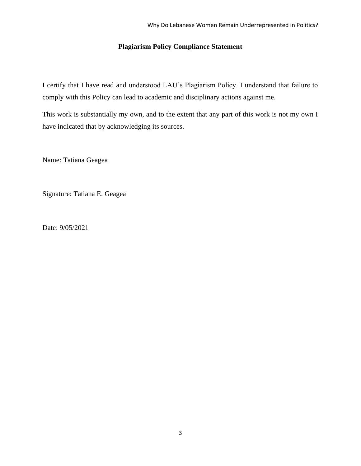# **Plagiarism Policy Compliance Statement**

I certify that I have read and understood LAU's Plagiarism Policy. I understand that failure to comply with this Policy can lead to academic and disciplinary actions against me.

This work is substantially my own, and to the extent that any part of this work is not my own I have indicated that by acknowledging its sources.

Name: Tatiana Geagea

Signature: Tatiana E. Geagea

Date: 9/05/2021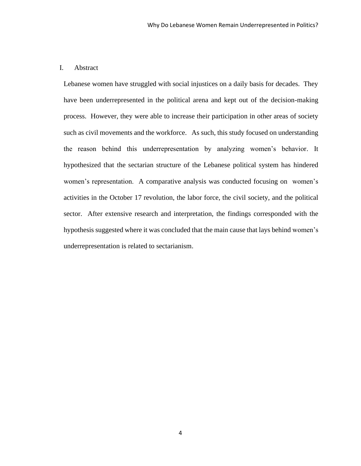# I. Abstract

Lebanese women have struggled with social injustices on a daily basis for decades. They have been underrepresented in the political arena and kept out of the decision-making process. However, they were able to increase their participation in other areas of society such as civil movements and the workforce. As such, this study focused on understanding the reason behind this underrepresentation by analyzing women's behavior. It hypothesized that the sectarian structure of the Lebanese political system has hindered women's representation. A comparative analysis was conducted focusing on women's activities in the October 17 revolution, the labor force, the civil society, and the political sector. After extensive research and interpretation, the findings corresponded with the hypothesis suggested where it was concluded that the main cause that lays behind women's underrepresentation is related to sectarianism.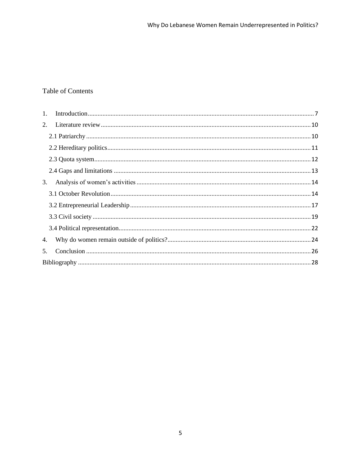# Table of Contents

| 1.             |    |  |
|----------------|----|--|
|                | 2. |  |
|                |    |  |
|                |    |  |
|                |    |  |
|                |    |  |
| 3.             |    |  |
|                |    |  |
|                |    |  |
|                |    |  |
|                |    |  |
| 4.             |    |  |
| 5 <sub>1</sub> |    |  |
|                |    |  |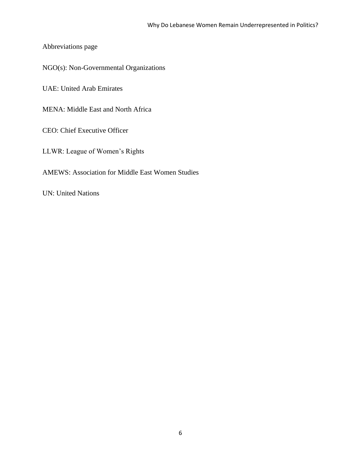Abbreviations page

NGO(s): Non-Governmental Organizations

UAE: United Arab Emirates

MENA: Middle East and North Africa

CEO: Chief Executive Officer

LLWR: League of Women's Rights

AMEWS: Association for Middle East Women Studies

UN: United Nations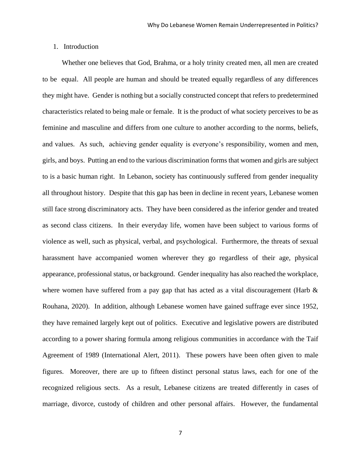# <span id="page-6-0"></span>1. Introduction

 Whether one believes that God, Brahma, or a holy trinity created men, all men are created to be equal. All people are human and should be treated equally regardless of any differences they might have. Gender is nothing but a socially constructed concept that refers to predetermined characteristics related to being male or female. It is the product of what society perceives to be as feminine and masculine and differs from one culture to another according to the norms, beliefs, and values. As such, achieving gender equality is everyone's responsibility, women and men, girls, and boys. Putting an end to the various discrimination forms that women and girls are subject to is a basic human right. In Lebanon, society has continuously suffered from gender inequality all throughout history. Despite that this gap has been in decline in recent years, Lebanese women still face strong discriminatory acts. They have been considered as the inferior gender and treated as second class citizens. In their everyday life, women have been subject to various forms of violence as well, such as physical, verbal, and psychological. Furthermore, the threats of sexual harassment have accompanied women wherever they go regardless of their age, physical appearance, professional status, or background. Gender inequality has also reached the workplace, where women have suffered from a pay gap that has acted as a vital discouragement (Harb  $\&$ Rouhana, 2020). In addition, although Lebanese women have gained suffrage ever since 1952, they have remained largely kept out of politics. Executive and legislative powers are distributed according to a power sharing formula among religious communities in accordance with the Taif Agreement of 1989 (International Alert, 2011). These powers have been often given to male figures. Moreover, there are up to fifteen distinct personal status laws, each for one of the recognized religious sects. As a result, Lebanese citizens are treated differently in cases of marriage, divorce, custody of children and other personal affairs. However, the fundamental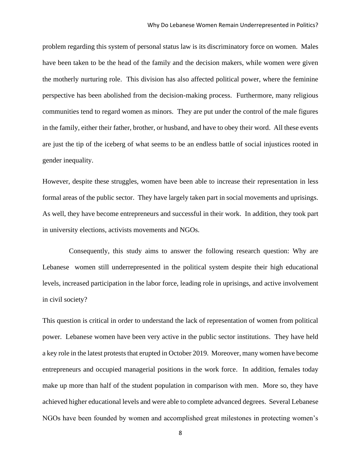problem regarding this system of personal status law is its discriminatory force on women. Males have been taken to be the head of the family and the decision makers, while women were given the motherly nurturing role. This division has also affected political power, where the feminine perspective has been abolished from the decision-making process. Furthermore, many religious communities tend to regard women as minors. They are put under the control of the male figures in the family, either their father, brother, or husband, and have to obey their word. All these events are just the tip of the iceberg of what seems to be an endless battle of social injustices rooted in gender inequality.

However, despite these struggles, women have been able to increase their representation in less formal areas of the public sector. They have largely taken part in social movements and uprisings. As well, they have become entrepreneurs and successful in their work. In addition, they took part in university elections, activists movements and NGOs.

 Consequently, this study aims to answer the following research question: Why are Lebanese women still underrepresented in the political system despite their high educational levels, increased participation in the labor force, leading role in uprisings, and active involvement in civil society?

This question is critical in order to understand the lack of representation of women from political power. Lebanese women have been very active in the public sector institutions. They have held a key role in the latest protests that erupted in October 2019. Moreover, many women have become entrepreneurs and occupied managerial positions in the work force. In addition, females today make up more than half of the student population in comparison with men. More so, they have achieved higher educational levels and were able to complete advanced degrees. Several Lebanese NGOs have been founded by women and accomplished great milestones in protecting women's

8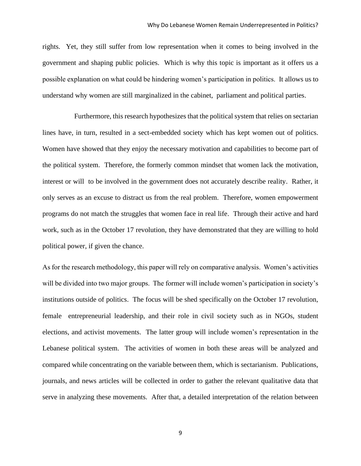rights. Yet, they still suffer from low representation when it comes to being involved in the government and shaping public policies. Which is why this topic is important as it offers us a possible explanation on what could be hindering women's participation in politics. It allows us to understand why women are still marginalized in the cabinet, parliament and political parties.

 Furthermore, this research hypothesizes that the political system that relies on sectarian lines have, in turn, resulted in a sect-embedded society which has kept women out of politics. Women have showed that they enjoy the necessary motivation and capabilities to become part of the political system. Therefore, the formerly common mindset that women lack the motivation, interest or will to be involved in the government does not accurately describe reality. Rather, it only serves as an excuse to distract us from the real problem. Therefore, women empowerment programs do not match the struggles that women face in real life. Through their active and hard work, such as in the October 17 revolution, they have demonstrated that they are willing to hold political power, if given the chance.

As for the research methodology, this paper will rely on comparative analysis. Women's activities will be divided into two major groups. The former will include women's participation in society's institutions outside of politics. The focus will be shed specifically on the October 17 revolution, female entrepreneurial leadership, and their role in civil society such as in NGOs, student elections, and activist movements. The latter group will include women's representation in the Lebanese political system. The activities of women in both these areas will be analyzed and compared while concentrating on the variable between them, which is sectarianism. Publications, journals, and news articles will be collected in order to gather the relevant qualitative data that serve in analyzing these movements. After that, a detailed interpretation of the relation between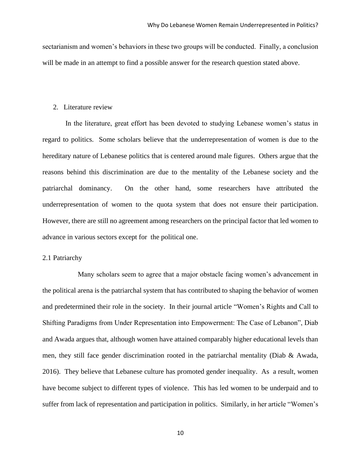sectarianism and women's behaviors in these two groups will be conducted. Finally, a conclusion will be made in an attempt to find a possible answer for the research question stated above.

#### <span id="page-9-0"></span>2. Literature review

 In the literature, great effort has been devoted to studying Lebanese women's status in regard to politics. Some scholars believe that the underrepresentation of women is due to the hereditary nature of Lebanese politics that is centered around male figures. Others argue that the reasons behind this discrimination are due to the mentality of the Lebanese society and the patriarchal dominancy. On the other hand, some researchers have attributed the underrepresentation of women to the quota system that does not ensure their participation. However, there are still no agreement among researchers on the principal factor that led women to advance in various sectors except for the political one.

# <span id="page-9-1"></span>2.1 Patriarchy

 Many scholars seem to agree that a major obstacle facing women's advancement in the political arena is the patriarchal system that has contributed to shaping the behavior of women and predetermined their role in the society. In their journal article "Women's Rights and Call to Shifting Paradigms from Under Representation into Empowerment: The Case of Lebanon", Diab and Awada argues that, although women have attained comparably higher educational levels than men, they still face gender discrimination rooted in the patriarchal mentality (Diab & Awada, 2016). They believe that Lebanese culture has promoted gender inequality. As a result, women have become subject to different types of violence. This has led women to be underpaid and to suffer from lack of representation and participation in politics. Similarly, in her article "Women's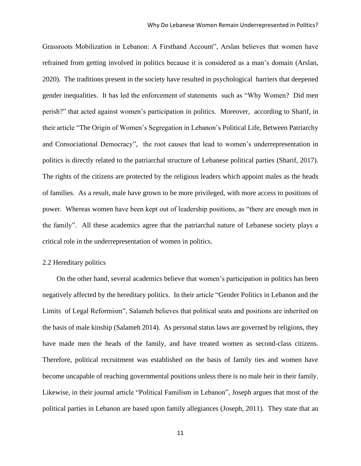Grassroots Mobilization in Lebanon: A Firsthand Account", Arslan believes that women have refrained from getting involved in politics because it is considered as a man's domain (Arslan, 2020). The traditions present in the society have resulted in psychological barriers that deepened gender inequalities. It has led the enforcement of statements such as "Why Women? Did men perish?" that acted against women's participation in politics. Moreover, according to Sharif, in their article "The Origin of Women's Segregation in Lebanon's Political Life, Between Patriarchy and Consociational Democracy", the root causes that lead to women's underrepresentation in politics is directly related to the patriarchal structure of Lebanese political parties (Sharif, 2017). The rights of the citizens are protected by the religious leaders which appoint males as the heads of families. As a result, male have grown to be more privileged, with more access to positions of power. Whereas women have been kept out of leadership positions, as "there are enough men in the family". All these academics agree that the patriarchal nature of Lebanese society plays a critical role in the underrepresentation of women in politics.

#### <span id="page-10-0"></span>2.2 Hereditary politics

 On the other hand, several academics believe that women's participation in politics has been negatively affected by the hereditary politics. In their article "Gender Politics in Lebanon and the Limits of Legal Reformism", Salameh believes that political seats and positions are inherited on the basis of male kinship (Salameh 2014). As personal status laws are governed by religions, they have made men the heads of the family, and have treated women as second-class citizens. Therefore, political recruitment was established on the basis of family ties and women have become uncapable of reaching governmental positions unless there is no male heir in their family. Likewise, in their journal article "Political Familism in Lebanon", Joseph argues that most of the political parties in Lebanon are based upon family allegiances (Joseph, 2011). They state that an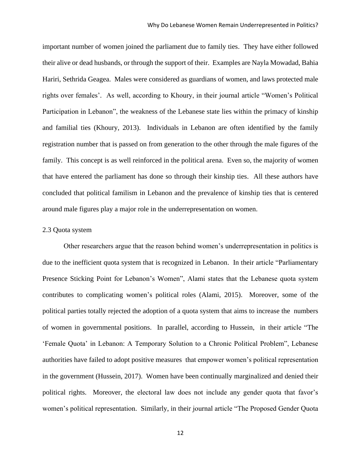important number of women joined the parliament due to family ties. They have either followed their alive or dead husbands, or through the support of their. Examples are Nayla Mowadad, Bahia Hariri, Sethrida Geagea. Males were considered as guardians of women, and laws protected male rights over females'. As well, according to Khoury, in their journal article "Women's Political Participation in Lebanon", the weakness of the Lebanese state lies within the primacy of kinship and familial ties (Khoury, 2013). Individuals in Lebanon are often identified by the family registration number that is passed on from generation to the other through the male figures of the family. This concept is as well reinforced in the political arena. Even so, the majority of women that have entered the parliament has done so through their kinship ties. All these authors have concluded that political familism in Lebanon and the prevalence of kinship ties that is centered around male figures play a major role in the underrepresentation on women.

#### <span id="page-11-0"></span>2.3 Quota system

 Other researchers argue that the reason behind women's underrepresentation in politics is due to the inefficient quota system that is recognized in Lebanon. In their article "Parliamentary Presence Sticking Point for Lebanon's Women", Alami states that the Lebanese quota system contributes to complicating women's political roles (Alami, 2015). Moreover, some of the political parties totally rejected the adoption of a quota system that aims to increase the numbers of women in governmental positions. In parallel, according to Hussein, in their article "The 'Female Quota' in Lebanon: A Temporary Solution to a Chronic Political Problem", Lebanese authorities have failed to adopt positive measures that empower women's political representation in the government (Hussein, 2017). Women have been continually marginalized and denied their political rights. Moreover, the electoral law does not include any gender quota that favor's women's political representation. Similarly, in their journal article "The Proposed Gender Quota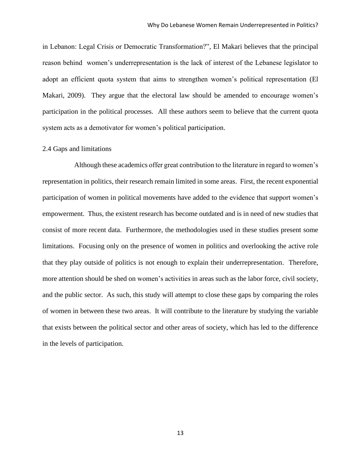in Lebanon: Legal Crisis or Democratic Transformation?", El Makari believes that the principal reason behind women's underrepresentation is the lack of interest of the Lebanese legislator to adopt an efficient quota system that aims to strengthen women's political representation (El Makari, 2009). They argue that the electoral law should be amended to encourage women's participation in the political processes. All these authors seem to believe that the current quota system acts as a demotivator for women's political participation.

#### <span id="page-12-0"></span>2.4 Gaps and limitations

 Although these academics offer great contribution to the literature in regard to women's representation in politics, their research remain limited in some areas. First, the recent exponential participation of women in political movements have added to the evidence that support women's empowerment. Thus, the existent research has become outdated and is in need of new studies that consist of more recent data. Furthermore, the methodologies used in these studies present some limitations. Focusing only on the presence of women in politics and overlooking the active role that they play outside of politics is not enough to explain their underrepresentation. Therefore, more attention should be shed on women's activities in areas such as the labor force, civil society, and the public sector. As such, this study will attempt to close these gaps by comparing the roles of women in between these two areas. It will contribute to the literature by studying the variable that exists between the political sector and other areas of society, which has led to the difference in the levels of participation.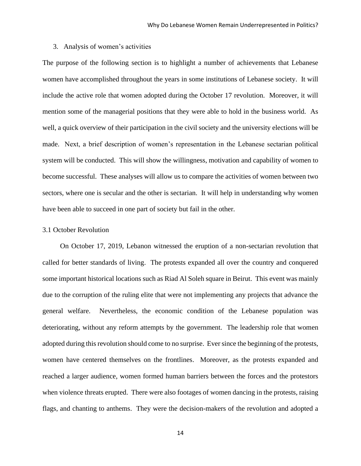#### <span id="page-13-0"></span>3. Analysis of women's activities

The purpose of the following section is to highlight a number of achievements that Lebanese women have accomplished throughout the years in some institutions of Lebanese society. It will include the active role that women adopted during the October 17 revolution. Moreover, it will mention some of the managerial positions that they were able to hold in the business world. As well, a quick overview of their participation in the civil society and the university elections will be made. Next, a brief description of women's representation in the Lebanese sectarian political system will be conducted. This will show the willingness, motivation and capability of women to become successful. These analyses will allow us to compare the activities of women between two sectors, where one is secular and the other is sectarian. It will help in understanding why women have been able to succeed in one part of society but fail in the other.

# <span id="page-13-1"></span>3.1 October Revolution

 On October 17, 2019, Lebanon witnessed the eruption of a non-sectarian revolution that called for better standards of living. The protests expanded all over the country and conquered some important historical locations such as Riad Al Soleh square in Beirut. This event was mainly due to the corruption of the ruling elite that were not implementing any projects that advance the general welfare. Nevertheless, the economic condition of the Lebanese population was deteriorating, without any reform attempts by the government. The leadership role that women adopted during this revolution should come to no surprise. Ever since the beginning of the protests, women have centered themselves on the frontlines. Moreover, as the protests expanded and reached a larger audience, women formed human barriers between the forces and the protestors when violence threats erupted. There were also footages of women dancing in the protests, raising flags, and chanting to anthems. They were the decision-makers of the revolution and adopted a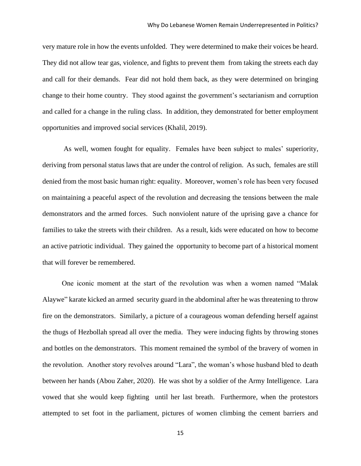very mature role in how the events unfolded. They were determined to make their voices be heard. They did not allow tear gas, violence, and fights to prevent them from taking the streets each day and call for their demands. Fear did not hold them back, as they were determined on bringing change to their home country. They stood against the government's sectarianism and corruption and called for a change in the ruling class. In addition, they demonstrated for better employment opportunities and improved social services (Khalil, 2019).

 As well, women fought for equality. Females have been subject to males' superiority, deriving from personal status laws that are under the control of religion. As such, females are still denied from the most basic human right: equality. Moreover, women's role has been very focused on maintaining a peaceful aspect of the revolution and decreasing the tensions between the male demonstrators and the armed forces. Such nonviolent nature of the uprising gave a chance for families to take the streets with their children. As a result, kids were educated on how to become an active patriotic individual. They gained the opportunity to become part of a historical moment that will forever be remembered.

 One iconic moment at the start of the revolution was when a women named "Malak Alaywe" karate kicked an armed security guard in the abdominal after he was threatening to throw fire on the demonstrators. Similarly, a picture of a courageous woman defending herself against the thugs of Hezbollah spread all over the media. They were inducing fights by throwing stones and bottles on the demonstrators. This moment remained the symbol of the bravery of women in the revolution. Another story revolves around "Lara", the woman's whose husband bled to death between her hands (Abou Zaher, 2020). He was shot by a soldier of the Army Intelligence. Lara vowed that she would keep fighting until her last breath. Furthermore, when the protestors attempted to set foot in the parliament, pictures of women climbing the cement barriers and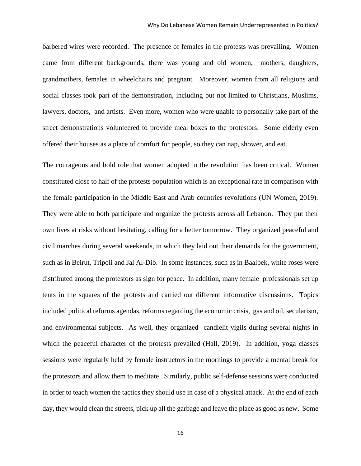barbered wires were recorded. The presence of females in the protests was prevailing. Women came from different backgrounds, there was young and old women, mothers, daughters, grandmothers, females in wheelchairs and pregnant. Moreover, women from all religions and social classes took part of the demonstration, including but not limited to Christians, Muslims, lawyers, doctors, and artists. Even more, women who were unable to personally take part of the street demonstrations volunteered to provide meal boxes to the protestors. Some elderly even offered their houses as a place of comfort for people, so they can nap, shower, and eat.

The courageous and bold role that women adopted in the revolution has been critical. Women constituted close to half of the protests population which is an exceptional rate in comparison with the female participation in the Middle East and Arab countries revolutions (UN Women, 2019). They were able to both participate and organize the protests across all Lebanon. They put their own lives at risks without hesitating, calling for a better tomorrow. They organized peaceful and civil marches during several weekends, in which they laid out their demands for the government, such as in Beirut, Tripoli and Jal Al-Dib. In some instances, such as in Baalbek, white roses were distributed among the protestors as sign for peace. In addition, many female professionals set up tents in the squares of the protests and carried out different informative discussions. Topics included political reforms agendas, reforms regarding the economic crisis, gas and oil, secularism, and environmental subjects. As well, they organized candlelit vigils during several nights in which the peaceful character of the protests prevailed (Hall, 2019). In addition, yoga classes sessions were regularly held by female instructors in the mornings to provide a mental break for the protestors and allow them to meditate. Similarly, public self-defense sessions were conducted in order to teach women the tactics they should use in case of a physical attack. At the end of each day, they would clean the streets, pick up all the garbage and leave the place as good as new. Some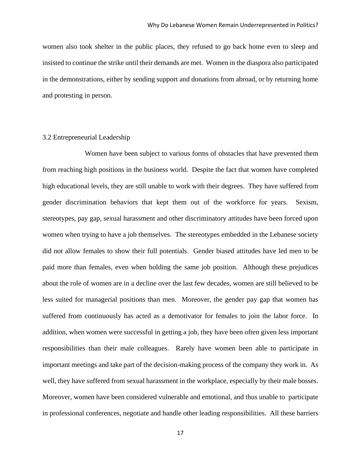women also took shelter in the public places, they refused to go back home even to sleep and insisted to continue the strike until their demands are met. Women in the diaspora also participated in the demonstrations, either by sending support and donations from abroad, or by returning home and protesting in person.

## <span id="page-16-0"></span>3.2 Entrepreneurial Leadership

 Women have been subject to various forms of obstacles that have prevented them from reaching high positions in the business world. Despite the fact that women have completed high educational levels, they are still unable to work with their degrees. They have suffered from gender discrimination behaviors that kept them out of the workforce for years. Sexism, stereotypes, pay gap, sexual harassment and other discriminatory attitudes have been forced upon women when trying to have a job themselves. The stereotypes embedded in the Lebanese society did not allow females to show their full potentials. Gender biased attitudes have led men to be paid more than females, even when holding the same job position. Although these prejudices about the role of women are in a decline over the last few decades, women are still believed to be less suited for managerial positions than men. Moreover, the gender pay gap that women has suffered from continuously has acted as a demotivator for females to join the labor force. In addition, when women were successful in getting a job, they have been often given less important responsibilities than their male colleagues. Rarely have women been able to participate in important meetings and take part of the decision-making process of the company they work in. As well, they have suffered from sexual harassment in the workplace, especially by their male bosses. Moreover, women have been considered vulnerable and emotional, and thus unable to participate in professional conferences, negotiate and handle other leading responsibilities. All these barriers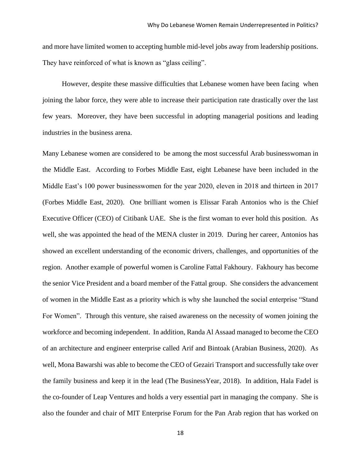and more have limited women to accepting humble mid-level jobs away from leadership positions. They have reinforced of what is known as "glass ceiling".

 However, despite these massive difficulties that Lebanese women have been facing when joining the labor force, they were able to increase their participation rate drastically over the last few years. Moreover, they have been successful in adopting managerial positions and leading industries in the business arena.

Many Lebanese women are considered to be among the most successful Arab businesswoman in the Middle East. According to Forbes Middle East, eight Lebanese have been included in the Middle East's 100 power businesswomen for the year 2020, eleven in 2018 and thirteen in 2017 (Forbes Middle East, 2020). One brilliant women is Elissar Farah Antonios who is the Chief Executive Officer (CEO) of Citibank UAE. She is the first woman to ever hold this position. As well, she was appointed the head of the MENA cluster in 2019. During her career, Antonios has showed an excellent understanding of the economic drivers, challenges, and opportunities of the region. Another example of powerful women is Caroline Fattal Fakhoury. Fakhoury has become the senior Vice President and a board member of the Fattal group. She considers the advancement of women in the Middle East as a priority which is why she launched the social enterprise "Stand For Women". Through this venture, she raised awareness on the necessity of women joining the workforce and becoming independent. In addition, Randa Al Assaad managed to become the CEO of an architecture and engineer enterprise called Arif and Bintoak (Arabian Business, 2020). As well, Mona Bawarshi was able to become the CEO of Gezairi Transport and successfully take over the family business and keep it in the lead (The BusinessYear, 2018). In addition, Hala Fadel is the co-founder of Leap Ventures and holds a very essential part in managing the company. She is also the founder and chair of MIT Enterprise Forum for the Pan Arab region that has worked on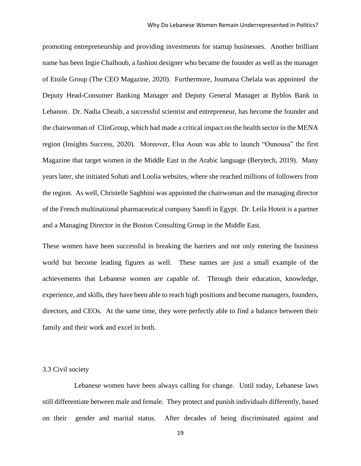promoting entrepreneurship and providing investments for startup businesses. Another brilliant name has been Ingie Chalhoub, a fashion designer who became the founder as well as the manager of Etoile Group (The CEO Magazine, 2020). Furthermore, Joumana Chelala was appointed the Deputy Head-Consumer Banking Manager and Deputy General Manager at Byblos Bank in Lebanon. Dr. Nadia Cheaib, a successful scientist and entrepreneur, has become the founder and the chairwoman of ClinGroup, which had made a critical impact on the health sector in the MENA region (Insights Success, 2020). Moreover, Elsa Aoun was able to launch "Ounousa" the first Magazine that target women in the Middle East in the Arabic language (Berytech, 2019). Many years later, she initiated Sohati and Loolia websites, where she reached millions of followers from the region. As well, Christelle Saghbini was appointed the chairwoman and the managing director of the French multinational pharmaceutical company Sanofi in Egypt. Dr. Leila Hoteit is a partner and a Managing Director in the Boston Consulting Group in the Middle East.

These women have been successful in breaking the barriers and not only entering the business world but become leading figures as well. These names are just a small example of the achievements that Lebanese women are capable of. Through their education, knowledge, experience, and skills, they have been able to reach high positions and become managers, founders, directors, and CEOs. At the same time, they were perfectly able to find a balance between their family and their work and excel in both.

#### <span id="page-18-0"></span>3.3 Civil society

 Lebanese women have been always calling for change. Until today, Lebanese laws still differentiate between male and female. They protect and punish individuals differently, based on their gender and marital status. After decades of being discriminated against and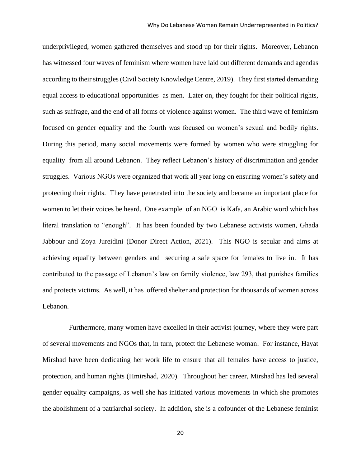underprivileged, women gathered themselves and stood up for their rights. Moreover, Lebanon has witnessed four waves of feminism where women have laid out different demands and agendas according to their struggles (Civil Society Knowledge Centre, 2019). They first started demanding equal access to educational opportunities as men. Later on, they fought for their political rights, such as suffrage, and the end of all forms of violence against women. The third wave of feminism focused on gender equality and the fourth was focused on women's sexual and bodily rights. During this period, many social movements were formed by women who were struggling for equality from all around Lebanon. They reflect Lebanon's history of discrimination and gender struggles. Various NGOs were organized that work all year long on ensuring women's safety and protecting their rights. They have penetrated into the society and became an important place for women to let their voices be heard. One example of an NGO is Kafa, an Arabic word which has literal translation to "enough". It has been founded by two Lebanese activists women, Ghada Jabbour and Zoya Jureidini (Donor Direct Action, 2021). This NGO is secular and aims at achieving equality between genders and securing a safe space for females to live in. It has contributed to the passage of Lebanon's law on family violence, law 293, that punishes families and protects victims. As well, it has offered shelter and protection for thousands of women across Lebanon.

 Furthermore, many women have excelled in their activist journey, where they were part of several movements and NGOs that, in turn, protect the Lebanese woman. For instance, Hayat Mirshad have been dedicating her work life to ensure that all females have access to justice, protection, and human rights (Hmirshad, 2020). Throughout her career, Mirshad has led several gender equality campaigns, as well she has initiated various movements in which she promotes the abolishment of a patriarchal society. In addition, she is a cofounder of the Lebanese feminist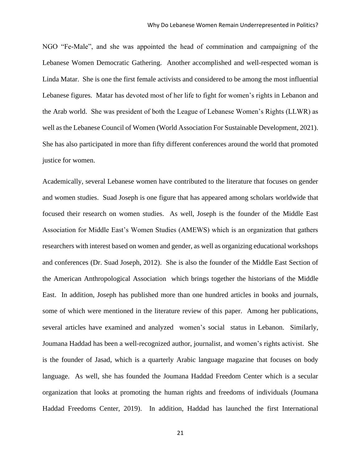NGO "Fe-Male", and she was appointed the head of commination and campaigning of the Lebanese Women Democratic Gathering. Another accomplished and well-respected woman is Linda Matar. She is one the first female activists and considered to be among the most influential Lebanese figures. Matar has devoted most of her life to fight for women's rights in Lebanon and the Arab world. She was president of both the League of Lebanese Women's Rights (LLWR) as well as the Lebanese Council of Women (World Association For Sustainable Development, 2021). She has also participated in more than fifty different conferences around the world that promoted justice for women.

Academically, several Lebanese women have contributed to the literature that focuses on gender and women studies. Suad Joseph is one figure that has appeared among scholars worldwide that focused their research on women studies. As well, Joseph is the founder of the Middle East Association for Middle East's Women Studies (AMEWS) which is an organization that gathers researchers with interest based on women and gender, as well as organizing educational workshops and conferences (Dr. Suad Joseph, 2012). She is also the founder of the Middle East Section of the American Anthropological Association which brings together the historians of the Middle East. In addition, Joseph has published more than one hundred articles in books and journals, some of which were mentioned in the literature review of this paper. Among her publications, several articles have examined and analyzed women's social status in Lebanon. Similarly, Joumana Haddad has been a well-recognized author, journalist, and women's rights activist. She is the founder of Jasad, which is a quarterly Arabic language magazine that focuses on body language. As well, she has founded the Joumana Haddad Freedom Center which is a secular organization that looks at promoting the human rights and freedoms of individuals (Joumana Haddad Freedoms Center, 2019). In addition, Haddad has launched the first International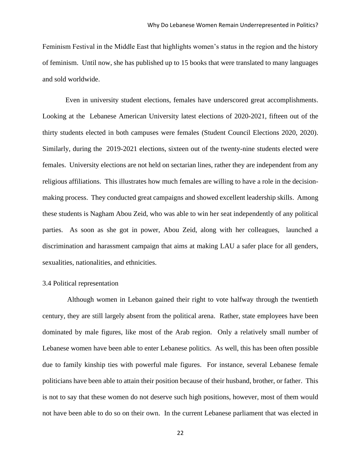Feminism Festival in the Middle East that highlights women's status in the region and the history of feminism. Until now, she has published up to 15 books that were translated to many languages and sold worldwide.

 Even in university student elections, females have underscored great accomplishments. Looking at the Lebanese American University latest elections of 2020-2021, fifteen out of the thirty students elected in both campuses were females (Student Council Elections 2020, 2020). Similarly, during the 2019-2021 elections, sixteen out of the twenty-nine students elected were females. University elections are not held on sectarian lines, rather they are independent from any religious affiliations. This illustrates how much females are willing to have a role in the decisionmaking process. They conducted great campaigns and showed excellent leadership skills. Among these students is Nagham Abou Zeid, who was able to win her seat independently of any political parties. As soon as she got in power, Abou Zeid, along with her colleagues, launched a discrimination and harassment campaign that aims at making LAU a safer place for all genders, sexualities, nationalities, and ethnicities.

#### <span id="page-21-0"></span>3.4 Political representation

 Although women in Lebanon gained their right to vote halfway through the twentieth century, they are still largely absent from the political arena. Rather, state employees have been dominated by male figures, like most of the Arab region. Only a relatively small number of Lebanese women have been able to enter Lebanese politics. As well, this has been often possible due to family kinship ties with powerful male figures. For instance, several Lebanese female politicians have been able to attain their position because of their husband, brother, or father. This is not to say that these women do not deserve such high positions, however, most of them would not have been able to do so on their own. In the current Lebanese parliament that was elected in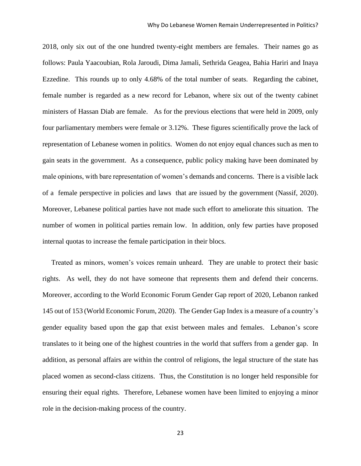2018, only six out of the one hundred twenty-eight members are females. Their names go as follows: Paula Yaacoubian, Rola Jaroudi, Dima Jamali, Sethrida Geagea, Bahia Hariri and Inaya Ezzedine. This rounds up to only 4.68% of the total number of seats. Regarding the cabinet, female number is regarded as a new record for Lebanon, where six out of the twenty cabinet ministers of Hassan Diab are female. As for the previous elections that were held in 2009, only four parliamentary members were female or 3.12%. These figures scientifically prove the lack of representation of Lebanese women in politics. Women do not enjoy equal chances such as men to gain seats in the government. As a consequence, public policy making have been dominated by male opinions, with bare representation of women's demands and concerns. There is a visible lack of a female perspective in policies and laws that are issued by the government (Nassif, 2020). Moreover, Lebanese political parties have not made such effort to ameliorate this situation. The number of women in political parties remain low. In addition, only few parties have proposed internal quotas to increase the female participation in their blocs.

 Treated as minors, women's voices remain unheard. They are unable to protect their basic rights. As well, they do not have someone that represents them and defend their concerns. Moreover, according to the World Economic Forum Gender Gap report of 2020, Lebanon ranked 145 out of 153 (World Economic Forum, 2020). The Gender Gap Index is a measure of a country's gender equality based upon the gap that exist between males and females. Lebanon's score translates to it being one of the highest countries in the world that suffers from a gender gap. In addition, as personal affairs are within the control of religions, the legal structure of the state has placed women as second-class citizens. Thus, the Constitution is no longer held responsible for ensuring their equal rights. Therefore, Lebanese women have been limited to enjoying a minor role in the decision-making process of the country.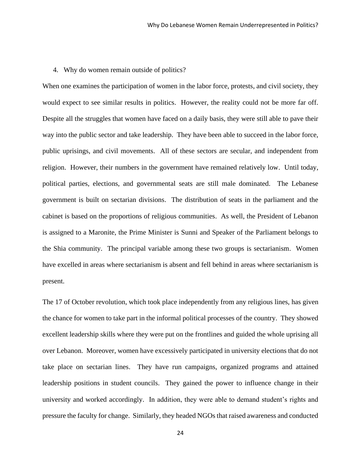#### <span id="page-23-0"></span>4. Why do women remain outside of politics?

When one examines the participation of women in the labor force, protests, and civil society, they would expect to see similar results in politics. However, the reality could not be more far off. Despite all the struggles that women have faced on a daily basis, they were still able to pave their way into the public sector and take leadership. They have been able to succeed in the labor force, public uprisings, and civil movements. All of these sectors are secular, and independent from religion. However, their numbers in the government have remained relatively low. Until today, political parties, elections, and governmental seats are still male dominated. The Lebanese government is built on sectarian divisions. The distribution of seats in the parliament and the cabinet is based on the proportions of religious communities. As well, the President of Lebanon is assigned to a Maronite, the Prime Minister is Sunni and Speaker of the Parliament belongs to the Shia community. The principal variable among these two groups is sectarianism. Women have excelled in areas where sectarianism is absent and fell behind in areas where sectarianism is present.

The 17 of October revolution, which took place independently from any religious lines, has given the chance for women to take part in the informal political processes of the country. They showed excellent leadership skills where they were put on the frontlines and guided the whole uprising all over Lebanon. Moreover, women have excessively participated in university elections that do not take place on sectarian lines. They have run campaigns, organized programs and attained leadership positions in student councils. They gained the power to influence change in their university and worked accordingly. In addition, they were able to demand student's rights and pressure the faculty for change. Similarly, they headed NGOs that raised awareness and conducted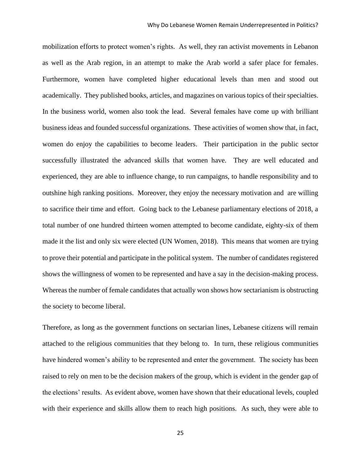mobilization efforts to protect women's rights. As well, they ran activist movements in Lebanon as well as the Arab region, in an attempt to make the Arab world a safer place for females. Furthermore, women have completed higher educational levels than men and stood out academically. They published books, articles, and magazines on various topics of their specialties. In the business world, women also took the lead. Several females have come up with brilliant business ideas and founded successful organizations. These activities of women show that, in fact, women do enjoy the capabilities to become leaders. Their participation in the public sector successfully illustrated the advanced skills that women have. They are well educated and experienced, they are able to influence change, to run campaigns, to handle responsibility and to outshine high ranking positions. Moreover, they enjoy the necessary motivation and are willing to sacrifice their time and effort. Going back to the Lebanese parliamentary elections of 2018, a total number of one hundred thirteen women attempted to become candidate, eighty-six of them made it the list and only six were elected (UN Women, 2018). This means that women are trying to prove their potential and participate in the political system. The number of candidates registered shows the willingness of women to be represented and have a say in the decision-making process. Whereas the number of female candidates that actually won shows how sectarianism is obstructing the society to become liberal.

Therefore, as long as the government functions on sectarian lines, Lebanese citizens will remain attached to the religious communities that they belong to. In turn, these religious communities have hindered women's ability to be represented and enter the government. The society has been raised to rely on men to be the decision makers of the group, which is evident in the gender gap of the elections' results. As evident above, women have shown that their educational levels, coupled with their experience and skills allow them to reach high positions. As such, they were able to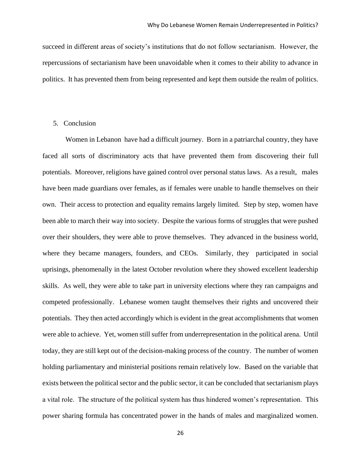succeed in different areas of society's institutions that do not follow sectarianism. However, the repercussions of sectarianism have been unavoidable when it comes to their ability to advance in politics. It has prevented them from being represented and kept them outside the realm of politics.

# <span id="page-25-0"></span>5. Conclusion

 Women in Lebanon have had a difficult journey. Born in a patriarchal country, they have faced all sorts of discriminatory acts that have prevented them from discovering their full potentials. Moreover, religions have gained control over personal status laws. As a result, males have been made guardians over females, as if females were unable to handle themselves on their own. Their access to protection and equality remains largely limited. Step by step, women have been able to march their way into society. Despite the various forms of struggles that were pushed over their shoulders, they were able to prove themselves. They advanced in the business world, where they became managers, founders, and CEOs. Similarly, they participated in social uprisings, phenomenally in the latest October revolution where they showed excellent leadership skills. As well, they were able to take part in university elections where they ran campaigns and competed professionally. Lebanese women taught themselves their rights and uncovered their potentials. They then acted accordingly which is evident in the great accomplishments that women were able to achieve. Yet, women still suffer from underrepresentation in the political arena. Until today, they are still kept out of the decision-making process of the country. The number of women holding parliamentary and ministerial positions remain relatively low. Based on the variable that exists between the political sector and the public sector, it can be concluded that sectarianism plays a vital role. The structure of the political system has thus hindered women's representation. This power sharing formula has concentrated power in the hands of males and marginalized women.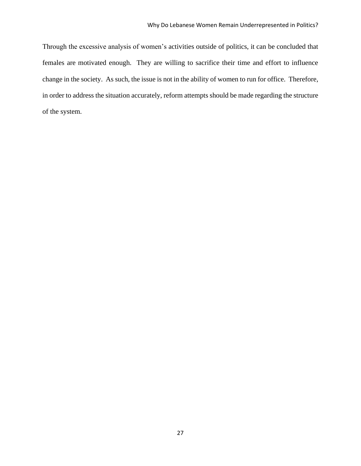Through the excessive analysis of women's activities outside of politics, it can be concluded that females are motivated enough. They are willing to sacrifice their time and effort to influence change in the society. As such, the issue is not in the ability of women to run for office. Therefore, in order to address the situation accurately, reform attempts should be made regarding the structure of the system.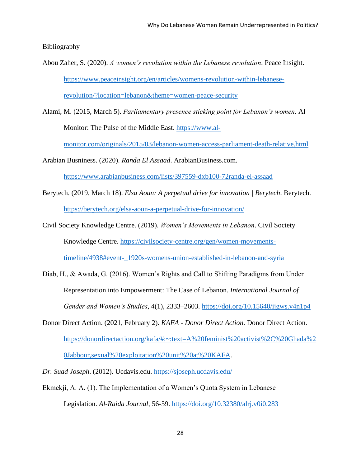<span id="page-27-0"></span>Bibliography

- Abou Zaher, S. (2020). *A women's revolution within the Lebanese revolution*. Peace Insight. [https://www.peaceinsight.org/en/articles/womens-revolution-within-lebanese](https://www.peaceinsight.org/en/articles/womens-revolution-within-lebanese-revolution/?location=lebanon&theme=women-peace-security)[revolution/?location=lebanon&theme=women-peace-security](https://www.peaceinsight.org/en/articles/womens-revolution-within-lebanese-revolution/?location=lebanon&theme=women-peace-security)
- Alami, M. (2015, March 5). *Parliamentary presence sticking point for Lebanon's women*. Al Monitor: The Pulse of the Middle East. [https://www.al-](https://www.al-monitor.com/originals/2015/03/lebanon-women-access-parliament-death-relative.html)

[monitor.com/originals/2015/03/lebanon-women-access-parliament-death-relative.html](https://www.al-monitor.com/originals/2015/03/lebanon-women-access-parliament-death-relative.html)

Arabian Busniness. (2020). *Randa El Assaad*. ArabianBusiness.com.

<https://www.arabianbusiness.com/lists/397559-dxb100-72randa-el-assaad>

- Berytech. (2019, March 18). *Elsa Aoun: A perpetual drive for innovation | Berytech*. Berytech. <https://berytech.org/elsa-aoun-a-perpetual-drive-for-innovation/>
- Civil Society Knowledge Centre. (2019). *Women's Movements in Lebanon*. Civil Society Knowledge Centre. [https://civilsociety-centre.org/gen/women-movements](https://civilsociety-centre.org/gen/women-movements-timeline/4938#event-_1920s-womens-union-established-in-lebanon-and-syria)[timeline/4938#event-\\_1920s-womens-union-established-in-lebanon-and-syria](https://civilsociety-centre.org/gen/women-movements-timeline/4938#event-_1920s-womens-union-established-in-lebanon-and-syria)
- Diab, H., & Awada, G. (2016). Women's Rights and Call to Shifting Paradigms from Under Representation into Empowerment: The Case of Lebanon. *International Journal of Gender and Women's Studies*, *4*(1), 2333–2603.<https://doi.org/10.15640/ijgws.v4n1p4>
- Donor Direct Action. (2021, February 2). *KAFA - Donor Direct Action*. Donor Direct Action. [https://donordirectaction.org/kafa/#:~:text=A%20feminist%20activist%2C%20Ghada%2](https://donordirectaction.org/kafa/#:~:text=A%20feminist%20activist%2C%20Ghada%20Jabbour,sexual%20exploitation%20unit%20at%20KAFA) [0Jabbour,sexual%20exploitation%20unit%20at%20KAFA.](https://donordirectaction.org/kafa/#:~:text=A%20feminist%20activist%2C%20Ghada%20Jabbour,sexual%20exploitation%20unit%20at%20KAFA)
- *Dr. Suad Joseph*. (2012). Ucdavis.edu.<https://sjoseph.ucdavis.edu/>
- Ekmekji, A. A. (1). The Implementation of a Women's Quota System in Lebanese Legislation. *Al-Raida Journal*, 56-59.<https://doi.org/10.32380/alrj.v0i0.283>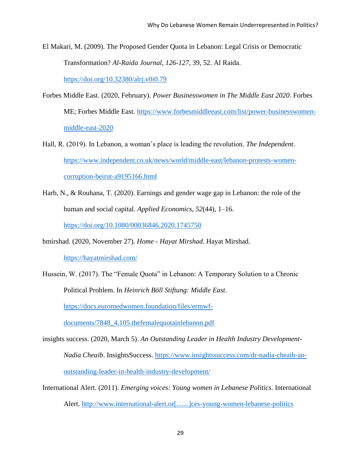El Makari, M. (2009). The Proposed Gender Quota in Lebanon: Legal Crisis or Democratic Transformation? *Al-Raida Journal*, *126-127*, 39, 52. Al Raida.

<https://doi.org/10.32380/alrj.v0i0.79>

- Forbes Middle East. (2020, February). *Power Businesswomen in The Middle East 2020*. Forbes ME; Forbes Middle East. [https://www.forbesmiddleeast.com/list/power-businesswomen](https://www.forbesmiddleeast.com/list/power-businesswomen-middle-east-2020)[middle-east-2020](https://www.forbesmiddleeast.com/list/power-businesswomen-middle-east-2020)
- Hall, R. (2019). In Lebanon, a woman's place is leading the revolution. *The Independent*. [https://www.independent.co.uk/news/world/middle-east/lebanon-protests-women](https://www.independent.co.uk/news/world/middle-east/lebanon-protests-women-corruption-beirut-a9195166.html)[corruption-beirut-a9195166.html](https://www.independent.co.uk/news/world/middle-east/lebanon-protests-women-corruption-beirut-a9195166.html)
- Harb, N., & Rouhana, T. (2020). Earnings and gender wage gap in Lebanon: the role of the human and social capital. *Applied Economics*, *52*(44), 1–16. <https://doi.org/10.1080/00036846.2020.1745750>
- hmirshad. (2020, November 27). *Home - Hayat Mirshad*. Hayat Mirshad. <https://hayatmirshad.com/>
- Hussein, W. (2017). The "Female Quota" in Lebanon: A Temporary Solution to a Chronic Political Problem. In *Heinrich Böll Stiftung: Middle East*.

[https://docs.euromedwomen.foundation/files/ermwf-](https://docs.euromedwomen.foundation/files/ermwf-documents/7848_4.105.thefemalequotainlebanon.pdf)

[documents/7848\\_4.105.thefemalequotainlebanon.pdf](https://docs.euromedwomen.foundation/files/ermwf-documents/7848_4.105.thefemalequotainlebanon.pdf)

- insights success. (2020, March 5). *An Outstanding Leader in Health Industry Development-Nadia Cheaib*. InsightsSuccess. [https://www.insightssuccess.com/dr-nadia-cheaib-an](https://www.insightssuccess.com/dr-nadia-cheaib-an-outstanding-leader-in-health-industry-development/)[outstanding-leader-in-health-industry-development/](https://www.insightssuccess.com/dr-nadia-cheaib-an-outstanding-leader-in-health-industry-development/)
- International Alert. (2011). *Emerging voices: Young women in Lebanese Politics*. International Alert. [http://www.international-alert.or\[.......\]ces-young-women-lebanese-politics](http://www.international-alert.or[.......]ces-young-women-lebanese-politics/)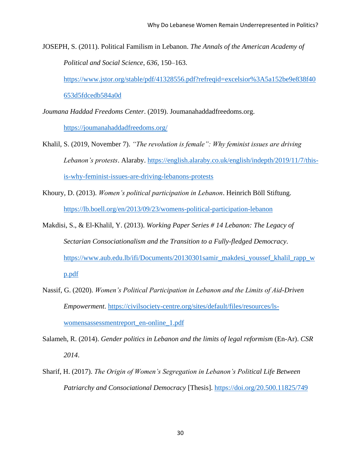JOSEPH, S. (2011). Political Familism in Lebanon. *The Annals of the American Academy of Political and Social Science*, *636*, 150–163.

[https://www.jstor.org/stable/pdf/41328556.pdf?refreqid=excelsior%3A5a152be9e838f40](https://www.jstor.org/stable/pdf/41328556.pdf?refreqid=excelsior%3A5a152be9e838f40653d5fdcedb584a0d) [653d5fdcedb584a0d](https://www.jstor.org/stable/pdf/41328556.pdf?refreqid=excelsior%3A5a152be9e838f40653d5fdcedb584a0d)

*Joumana Haddad Freedoms Center*. (2019). Joumanahaddadfreedoms.org.

<https://joumanahaddadfreedoms.org/>

- Khalil, S. (2019, November 7). *"The revolution is female": Why feminist issues are driving Lebanon's protests*. Alaraby. [https://english.alaraby.co.uk/english/indepth/2019/11/7/this](https://english.alaraby.co.uk/english/indepth/2019/11/7/this-is-why-feminist-issues-are-driving-lebanons-protests)[is-why-feminist-issues-are-driving-lebanons-protests](https://english.alaraby.co.uk/english/indepth/2019/11/7/this-is-why-feminist-issues-are-driving-lebanons-protests)
- Khoury, D. (2013). *Women's political participation in Lebanon*. Heinrich Böll Stiftung. <https://lb.boell.org/en/2013/09/23/womens-political-participation-lebanon>
- Makdisi, S., & El-Khalil, Y. (2013). *Working Paper Series # 14 Lebanon: The Legacy of Sectarian Consociationalism and the Transition to a Fully-fledged Democracy*. [https://www.aub.edu.lb/ifi/Documents/20130301samir\\_makdesi\\_youssef\\_khalil\\_rapp\\_w](https://www.aub.edu.lb/ifi/Documents/20130301samir_makdesi_youssef_khalil_rapp_wp.pdf) [p.pdf](https://www.aub.edu.lb/ifi/Documents/20130301samir_makdesi_youssef_khalil_rapp_wp.pdf)
- Nassif, G. (2020). *Women's Political Participation in Lebanon and the Limits of Aid-Driven Empowerment*. [https://civilsociety-centre.org/sites/default/files/resources/ls](https://civilsociety-centre.org/sites/default/files/resources/ls-womensassessmentreport_en-online_1.pdf)[womensassessmentreport\\_en-online\\_1.pdf](https://civilsociety-centre.org/sites/default/files/resources/ls-womensassessmentreport_en-online_1.pdf)
- Salameh, R. (2014). *Gender politics in Lebanon and the limits of legal reformism* (En-Ar). *CSR 2014*.
- Sharif, H. (2017). *The Origin of Women's Segregation in Lebanon's Political Life Between Patriarchy and Consociational Democracy* [Thesis].<https://doi.org/20.500.11825/749>